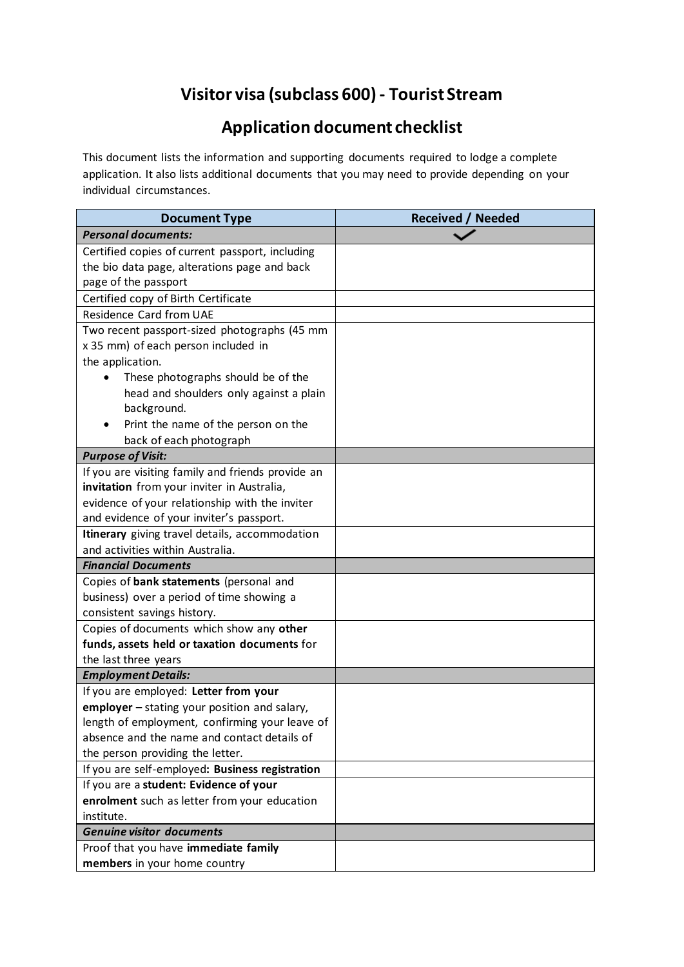## **Visitor visa (subclass 600) - Tourist Stream**

## **Application document checklist**

This document lists the information and supporting documents required to lodge a complete application. It also lists additional documents that you may need to provide depending on your individual circumstances.

| <b>Document Type</b>                              | <b>Received / Needed</b> |
|---------------------------------------------------|--------------------------|
| <b>Personal documents:</b>                        |                          |
| Certified copies of current passport, including   |                          |
| the bio data page, alterations page and back      |                          |
| page of the passport                              |                          |
| Certified copy of Birth Certificate               |                          |
| Residence Card from UAE                           |                          |
| Two recent passport-sized photographs (45 mm      |                          |
| x 35 mm) of each person included in               |                          |
| the application.                                  |                          |
| These photographs should be of the                |                          |
| head and shoulders only against a plain           |                          |
| background.                                       |                          |
| Print the name of the person on the               |                          |
| back of each photograph                           |                          |
| <b>Purpose of Visit:</b>                          |                          |
| If you are visiting family and friends provide an |                          |
| invitation from your inviter in Australia,        |                          |
| evidence of your relationship with the inviter    |                          |
| and evidence of your inviter's passport.          |                          |
| Itinerary giving travel details, accommodation    |                          |
| and activities within Australia.                  |                          |
| <b>Financial Documents</b>                        |                          |
| Copies of bank statements (personal and           |                          |
| business) over a period of time showing a         |                          |
| consistent savings history.                       |                          |
| Copies of documents which show any other          |                          |
| funds, assets held or taxation documents for      |                          |
| the last three years                              |                          |
| <b>Employment Details:</b>                        |                          |
| If you are employed: Letter from your             |                          |
| employer - stating your position and salary,      |                          |
| length of employment, confirming your leave of    |                          |
| absence and the name and contact details of       |                          |
| the person providing the letter.                  |                          |
| If you are self-employed: Business registration   |                          |
| If you are a student: Evidence of your            |                          |
| enrolment such as letter from your education      |                          |
| institute.                                        |                          |
| <b>Genuine visitor documents</b>                  |                          |
| Proof that you have immediate family              |                          |
| members in your home country                      |                          |